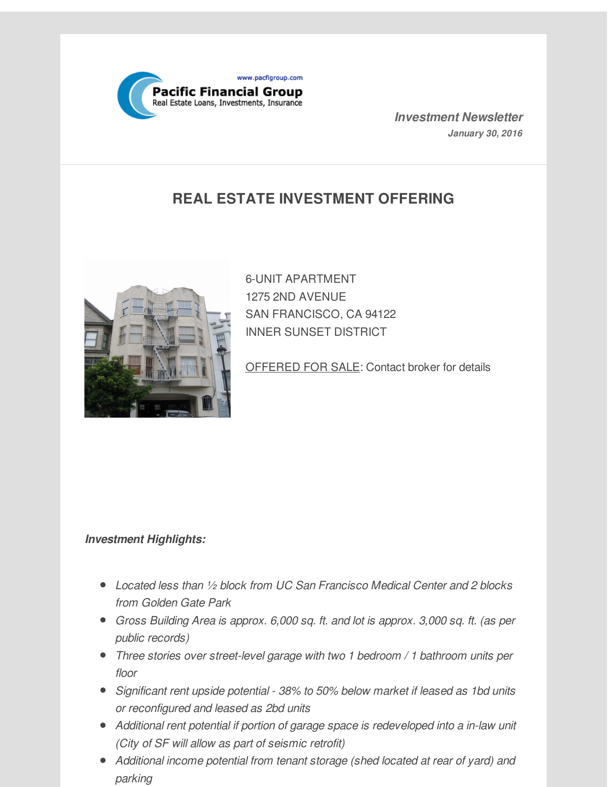

*Investment Newsletter January 30, 2016*

# **REAL ESTATE INVESTMENT OFFERING**



6-UNIT APARTMENT 1275 2ND AVENUE SAN FRANCISCO, CA 94122 INNER SUNSET DISTRICT

OFFERED FOR SALE: Contact broker for details

#### *Investment Highlights:*

- *Located less than ½ block from UC San Francisco Medical Center and 2 blocks from Golden Gate Park*
- *Gross Building Area is approx. 6,000 sq. ft. and lot is approx. 3,000 sq. ft. (as per public records)*
- *Three stories over street-level garage with two 1 bedroom / 1 bathroom units per floor*
- *Significant rent upside potential - 38% to 50% below market if leased as 1bd units or reconfigured and leased as 2bd units*
- *Additional rent potential if portion of garage space is redeveloped into a in-law unit (City of SF will allow as part of seismic retrofit)*
- *Additional income potential from tenant storage (shed located at rear of yard) and parking*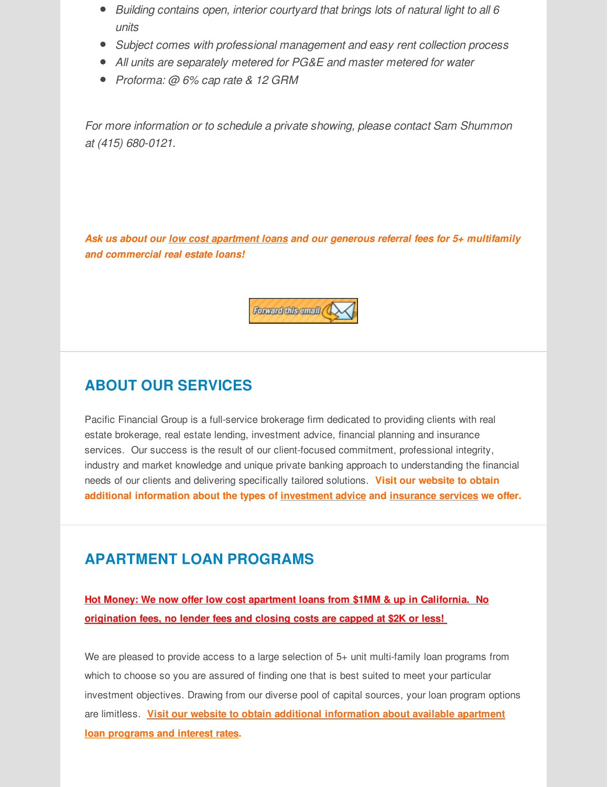- *Building contains open, interior courtyard that brings lots of natural light to all 6 units*
- *Subject comes with professional management and easy rent collection process*
- *All units are separately metered for PG&E and master metered for water*
- *Proforma: @ 6% cap rate & 12 GRM*

*For more information or to schedule a private showing, please contact Sam Shummon at (415) 680-0121.*

*Ask us about our low cost apartment loans and our generous referral fees for 5+ multifamily and commercial real estate loans!*



#### **ABOUT OUR SERVICES**

Pacific Financial Group is a full-service brokerage firm dedicated to providing clients with real estate brokerage, real estate lending, investment advice, financial planning and insurance services. Our success is the result of our client-focused commitment, professional integrity, industry and market knowledge and unique private banking approach to understanding the financial needs of our clients and delivering specifically tailored solutions. **Visit our website to obtain additional information about the types of [investment](http://r20.rs6.net/tn.jsp?f=001M6SEh-UTJsMpKT6_55fXd8gex82gegT4wo84m02JNQSzHP7UsO3INC9k3z3pw1GBHeyww1tLGZUP6Oh5dEMlL47aemYc9MkisoCzoervOX79itbymPH_v2PT0RUb9hN8Mo58JHqd9dzWewUec7_acPTDwInNFrNfG0xeKgNGDIoqDq-xE-tG1SDbwVO_N5gJcmyqdXUjY9o=&c=&ch=) advice and [insurance](http://r20.rs6.net/tn.jsp?f=001M6SEh-UTJsMpKT6_55fXd8gex82gegT4wo84m02JNQSzHP7UsO3INC9k3z3pw1GBuTGhFgWchF9lc7xEWlZM4Sx8EWleijEu8SRjarFSZOkMRGvqvzSCEVwd5M3t3RZ5P1ZxZGiF_Gb8bRcxkdD8kY_r1l-7KF7KINtL3WLDUUrU-hqBAblbdfG3IxtXcu7E5JVdgAx2s58=&c=&ch=) services we offer.**

#### **APARTMENT LOAN PROGRAMS**

**Hot Money: We now offer low cost apartment loans from \$1MM & up in California. No origination fees, no lender fees and closing costs are capped at \$2K or less!**

We are pleased to provide access to a large selection of 5+ unit multi-family loan programs from which to choose so you are assured of finding one that is best suited to meet your particular investment objectives. Drawing from our diverse pool of capital sources, your loan program options are limitless. **Visit our website to obtain additional [information](http://r20.rs6.net/tn.jsp?f=001M6SEh-UTJsMpKT6_55fXd8gex82gegT4wo84m02JNQSzHP7UsO3INC9k3z3pw1GBL4EB1oTZJunpA3i1g4VZ0I8vsLvG2FBK-bWdXO8eFHthST2_D0ZRcrHwZxhTMi6RmmX7-ffDxFn6QQSIRhBP8KRur1EDOMU4a82jwPLNKmJPGdUezspS-HOgq1gpuvLVT6TNPSyGxcs=&c=&ch=) about available apartment loan programs and interest rates.**